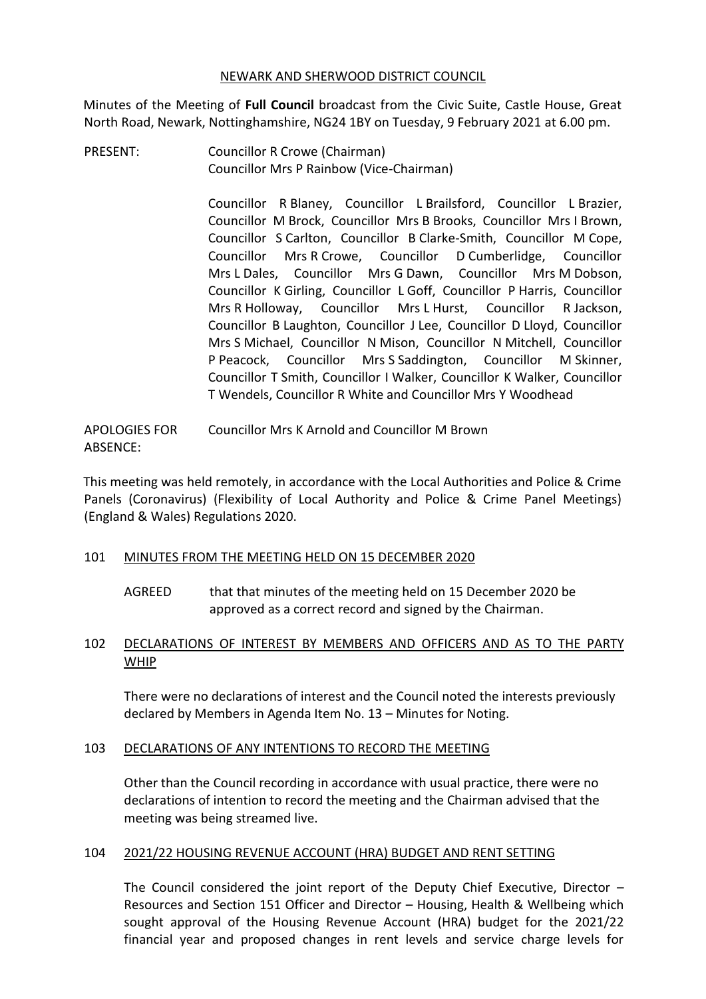#### NEWARK AND SHERWOOD DISTRICT COUNCIL

Minutes of the Meeting of **Full Council** broadcast from the Civic Suite, Castle House, Great North Road, Newark, Nottinghamshire, NG24 1BY on Tuesday, 9 February 2021 at 6.00 pm.

PRESENT: Councillor R Crowe (Chairman) Councillor Mrs P Rainbow (Vice-Chairman)

> Councillor R Blaney, Councillor L Brailsford, Councillor L Brazier, Councillor M Brock, Councillor Mrs B Brooks, Councillor Mrs I Brown, Councillor S Carlton, Councillor B Clarke-Smith, Councillor M Cope, Councillor Mrs R Crowe, Councillor D Cumberlidge, Councillor Mrs L Dales, Councillor Mrs G Dawn, Councillor Mrs M Dobson, Councillor K Girling, Councillor L Goff, Councillor P Harris, Councillor Mrs R Holloway, Councillor Mrs L Hurst, Councillor R Jackson, Councillor B Laughton, Councillor J Lee, Councillor D Lloyd, Councillor Mrs S Michael, Councillor N Mison, Councillor N Mitchell, Councillor P Peacock, Councillor Mrs S Saddington, Councillor M Skinner, Councillor T Smith, Councillor I Walker, Councillor K Walker, Councillor T Wendels, Councillor R White and Councillor Mrs Y Woodhead

APOLOGIES FOR ABSENCE: Councillor Mrs K Arnold and Councillor M Brown

This meeting was held remotely, in accordance with the Local Authorities and Police & Crime Panels (Coronavirus) (Flexibility of Local Authority and Police & Crime Panel Meetings) (England & Wales) Regulations 2020.

## 101 MINUTES FROM THE MEETING HELD ON 15 DECEMBER 2020

AGREED that that minutes of the meeting held on 15 December 2020 be approved as a correct record and signed by the Chairman.

## 102 DECLARATIONS OF INTEREST BY MEMBERS AND OFFICERS AND AS TO THE PARTY WHIP

There were no declarations of interest and the Council noted the interests previously declared by Members in Agenda Item No. 13 – Minutes for Noting.

## 103 DECLARATIONS OF ANY INTENTIONS TO RECORD THE MEETING

Other than the Council recording in accordance with usual practice, there were no declarations of intention to record the meeting and the Chairman advised that the meeting was being streamed live.

## 104 2021/22 HOUSING REVENUE ACCOUNT (HRA) BUDGET AND RENT SETTING

The Council considered the joint report of the Deputy Chief Executive, Director – Resources and Section 151 Officer and Director – Housing, Health & Wellbeing which sought approval of the Housing Revenue Account (HRA) budget for the 2021/22 financial year and proposed changes in rent levels and service charge levels for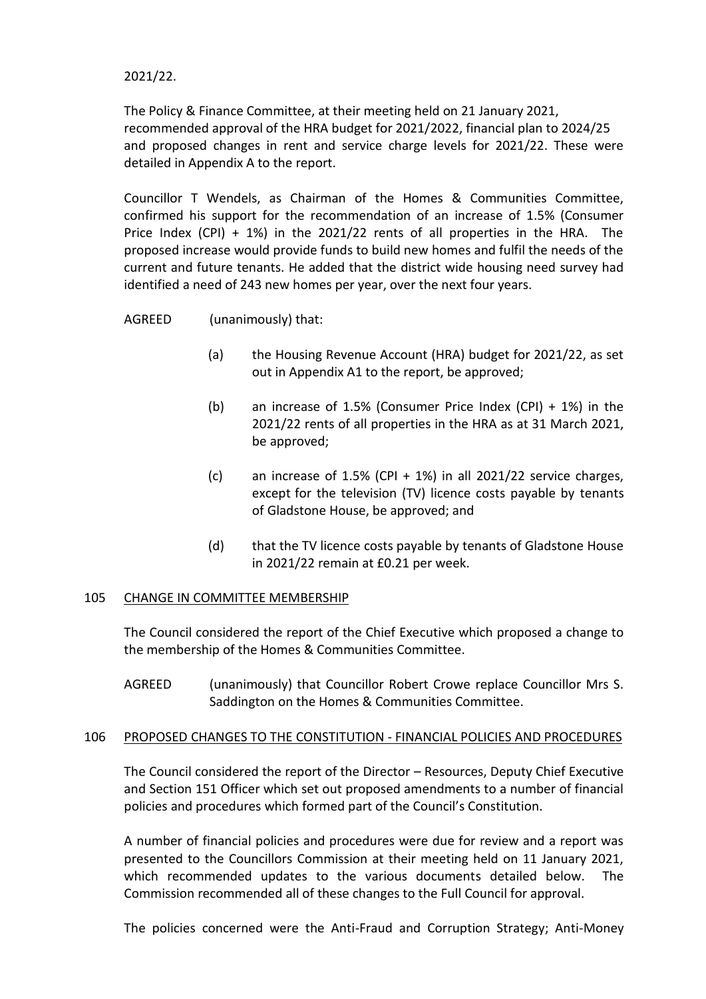2021/22.

The Policy & Finance Committee, at their meeting held on 21 January 2021, recommended approval of the HRA budget for 2021/2022, financial plan to 2024/25 and proposed changes in rent and service charge levels for 2021/22. These were detailed in Appendix A to the report.

Councillor T Wendels, as Chairman of the Homes & Communities Committee, confirmed his support for the recommendation of an increase of 1.5% (Consumer Price Index (CPI) + 1%) in the 2021/22 rents of all properties in the HRA. The proposed increase would provide funds to build new homes and fulfil the needs of the current and future tenants. He added that the district wide housing need survey had identified a need of 243 new homes per year, over the next four years.

AGREED (unanimously) that:

- (a) the Housing Revenue Account (HRA) budget for 2021/22, as set out in Appendix A1 to the report, be approved;
- (b) an increase of 1.5% (Consumer Price Index (CPI) + 1%) in the 2021/22 rents of all properties in the HRA as at 31 March 2021, be approved;
- (c) an increase of 1.5% (CPI  $+$  1%) in all 2021/22 service charges, except for the television (TV) licence costs payable by tenants of Gladstone House, be approved; and
- (d) that the TV licence costs payable by tenants of Gladstone House in 2021/22 remain at £0.21 per week.

#### 105 CHANGE IN COMMITTEE MEMBERSHIP

The Council considered the report of the Chief Executive which proposed a change to the membership of the Homes & Communities Committee.

AGREED (unanimously) that Councillor Robert Crowe replace Councillor Mrs S. Saddington on the Homes & Communities Committee.

#### 106 PROPOSED CHANGES TO THE CONSTITUTION - FINANCIAL POLICIES AND PROCEDURES

The Council considered the report of the Director – Resources, Deputy Chief Executive and Section 151 Officer which set out proposed amendments to a number of financial policies and procedures which formed part of the Council's Constitution.

A number of financial policies and procedures were due for review and a report was presented to the Councillors Commission at their meeting held on 11 January 2021, which recommended updates to the various documents detailed below. The Commission recommended all of these changes to the Full Council for approval.

The policies concerned were the Anti-Fraud and Corruption Strategy; Anti-Money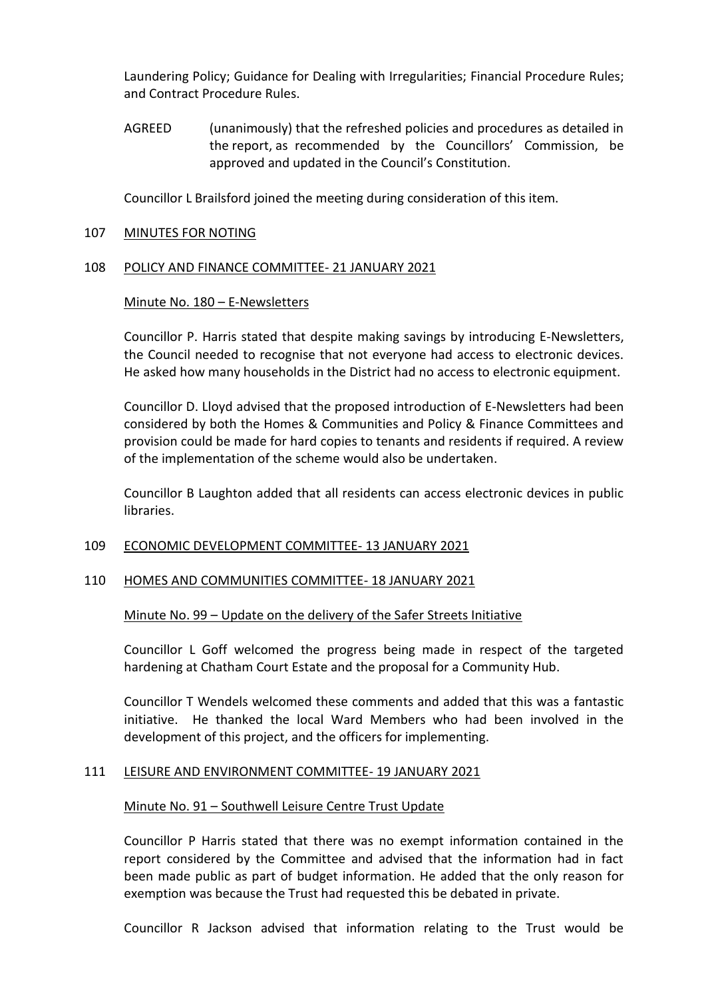Laundering Policy; Guidance for Dealing with Irregularities; Financial Procedure Rules; and Contract Procedure Rules.

AGREED (unanimously) that the refreshed policies and procedures as detailed in the report, as recommended by the Councillors' Commission, be approved and updated in the Council's Constitution.

Councillor L Brailsford joined the meeting during consideration of this item.

#### 107 MINUTES FOR NOTING

## 108 POLICY AND FINANCE COMMITTEE- 21 JANUARY 2021

## Minute No. 180 – E-Newsletters

Councillor P. Harris stated that despite making savings by introducing E-Newsletters, the Council needed to recognise that not everyone had access to electronic devices. He asked how many households in the District had no access to electronic equipment.

Councillor D. Lloyd advised that the proposed introduction of E-Newsletters had been considered by both the Homes & Communities and Policy & Finance Committees and provision could be made for hard copies to tenants and residents if required. A review of the implementation of the scheme would also be undertaken.

Councillor B Laughton added that all residents can access electronic devices in public libraries.

## 109 ECONOMIC DEVELOPMENT COMMITTEE- 13 JANUARY 2021

## 110 HOMES AND COMMUNITIES COMMITTEE- 18 JANUARY 2021

#### Minute No. 99 – Update on the delivery of the Safer Streets Initiative

Councillor L Goff welcomed the progress being made in respect of the targeted hardening at Chatham Court Estate and the proposal for a Community Hub.

Councillor T Wendels welcomed these comments and added that this was a fantastic initiative. He thanked the local Ward Members who had been involved in the development of this project, and the officers for implementing.

## 111 LEISURE AND ENVIRONMENT COMMITTEE- 19 JANUARY 2021

## Minute No. 91 – Southwell Leisure Centre Trust Update

Councillor P Harris stated that there was no exempt information contained in the report considered by the Committee and advised that the information had in fact been made public as part of budget information. He added that the only reason for exemption was because the Trust had requested this be debated in private.

Councillor R Jackson advised that information relating to the Trust would be